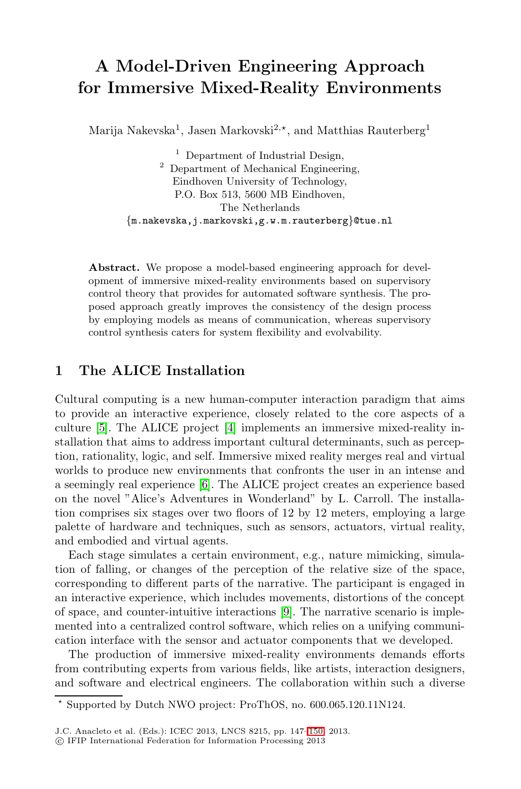# **A Model-Driven Engineering Approach for Immersive Mixed-Reality Environments**

Marija Nakevska<sup>1</sup>, Jasen Markovski<sup>2,\*</sup>, and Matthias Rauterberg<sup>1</sup>

<sup>1</sup> Department of Industrial Design, <sup>2</sup> Department of Mechanical Engineering, Eindhoven University of Technology, P.O. Box 513, 5600 MB Eindhoven, The Netherlands *{*m.nakevska,j.markovski,g.w.m.rauterberg*}*@tue.nl

Abstract. We propose a model-based engineering approach for development of immersive mixed-reality environments based on supervisory control theory that provides for automated software synthesis. The proposed approach greatly improves the consistency of the design process by emplo[yin](#page-3-0)g models as means of communication, whereas supervisory control synthesis caters for system flexibility and evolvability.

## **1 The [A](#page-3-1)LICE Installation**

Cultural computing is a new human-computer interaction paradigm that aims to provide an interactive experience, closely related to the core aspects of a culture [5]. The ALICE project [4] implements an immersive mixed-reality installation that aims to address important cultural determinants, such as perception, rationality, logic, and self. Immersive mixed reality merges real and virtual worlds to produce new environments that confronts the user in an intense and a seemingly real experience [6]. The ALICE project creates an experience based on the novel "Alice's Ad[ven](#page-3-2)tures in Wonderland" by L. Carroll. The installation comprises six stages over two floors of 12 by 12 meters, employing a large palette of hardware and techniques, such as sensors, actuators, virtual reality, and embodied and virtual agents.

Each stage simulates a certain environment, e.g., nature mimicking, simulation of falling, or changes of the perception of the relative size of the space, corresponding to different parts of the narrative. The participant is engaged in an interactive experience, which includes movements, distortions of the concept of space, and counter-intuitive interactions [9]. The narrative scenario is implemented into a centralized cont[rol](#page-3-3) [s](#page-3-3)oftware, which relies on a unifying communication interface with the sensor and actuator components that we developed.

The production of immersive mixed-reality environments demands efforts from contributing experts from various fields, like artists, interaction designers, and software and electrical engineers. The collaboration within such a diverse

<sup>-</sup> Supported by Dutch NWO project: ProThOS, no. 600.065.120.11N124.

J.C. Anacleto et al. (Eds.): ICEC 2013, LNCS 8215, pp. 147–150, 2013.

<sup>-</sup>c IFIP International Federation for Information Processing 2013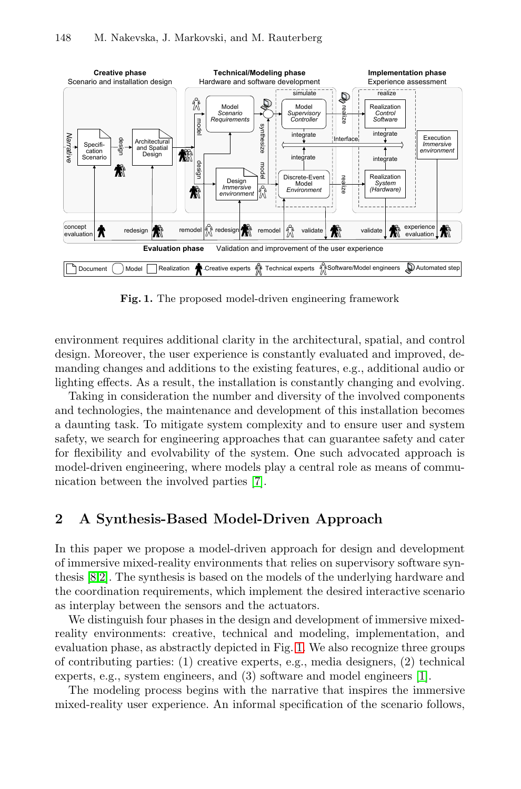

#### <span id="page-1-0"></span>148 M. Nakevska, J. Markovski, and M. Rauterberg

**Fig. 1.** The proposed model-driven engineering framework

environment requires additional clarity in the architectural, spatial, and control design. Moreover, the user experience is constantly evaluated and improved, demanding changes an[d a](#page-3-4)dditions to the existing features, e.g., additional audio or lighting effects. As a result, the installation is constantly changing and evolving.

Taking in consideration the number and diversity of the involved components and technologies, the maintenance and development of this installation becomes a daunting task. To mitigate system complexity and to ensure user and system safety, we search for engineering approaches that can guarantee safety and cater for flexibility and evolvability of the system. One such advocated approach is model-driven engineering, where models play a central role as means of communication between the involved parties [7].

#### **2 A Synthesis-Based Model-Driven Approach**

In this paper we propose a [mo](#page-1-0)del-driven approach for design and development of immersive mixed-reality environments that relies [on](#page-3-5) supervisory software synthesis [8,2]. The synthesis is based on the models of the underlying hardware and the coordination requirements, which implement the desired interactive scenario as interplay between the sensors and the actuators.

We distinguish four phases in the design and development of immersive mixedreality environments: creative, technical and modeling, implementation, and evaluation phase, as abstractly depicted in Fig. 1. We also recognize three groups of contributing parties: (1) creative experts, e.g., media designers, (2) technical experts, e.g., system engineers, and (3) software and model engineers [1].

The modeling process begins with the narrative that inspires the immersive mixed-reality user experience. An informal specification of the scenario follows,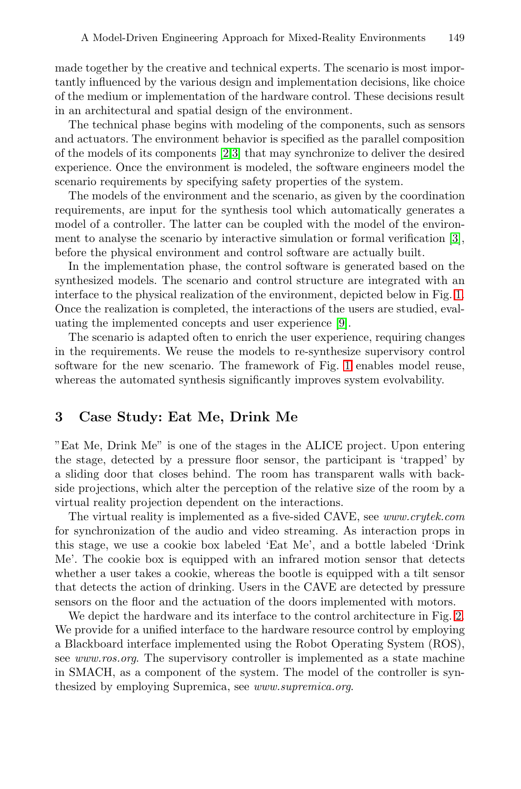made together by the creative and technical experts. The scenario is most importantly influenced by the various design and implementation decisions, like choice of the medium or implementation of the hardware control. These decisions result in an architectural and spatial design of the environment.

The technical phase begins with modeling of the compo[nen](#page-3-7)ts, such as sensors and actuators. The environment behavior is specified as the parallel composition of the models of its components [2,3] that may synchronize to deliver the desired experience. Once the environment is modeled, the software engineers model the scenario requirements by specifying safety properties of the [sy](#page-1-0)stem.

The models of the environment and the scenario, as given by the coordination requirements, are input for the synt[he](#page-3-2)sis tool which automatically generates a model of a controller. The latter can be coupled with the model of the environment to analyse the scenario by interactive simulation or formal verification [3], before the physical environment and [con](#page-1-0)trol software are actually built.

In the implementation phase, the control software is generated based on the synthesized models. The scenario and control structure are integrated with an interface to the physical realization of the environment, depicted below in Fig. 1. Once the realization is completed, the interactions of the users are studied, evaluating the implemented concepts and user experience [9].

The scenario is adapted often to enrich the user experience, requiring changes in the requirements. We reuse the models to re-synthesize supervisory control software for the new scenario. The framework of Fig. 1 enables model reuse, whereas the automated synthesis significantly improves system evolvability.

#### **3 Case Study: Eat Me, Drink Me**

"Eat Me, Drink Me" is one of the stages in the ALICE project. Upon entering the stage, detected by a pressure floor sensor, the participant is 'trapped' by a sliding door that closes behind. The room has transparent walls with backside projections, which alter the perception of the relative size of the room by a virtual reality projection dependent on the interactions.

The virtual reality is implemented as a five-sided CAVE, [se](#page-3-8)e *www.crytek.com* for synchronization of the audio and video streaming. As interaction props in this stage, we use a cookie box labeled 'Eat Me', and a bottle labeled 'Drink Me'. The cookie box is equipped with an infrared motion sensor that detects whether a user takes a cookie, whereas the bootle is equipped with a tilt sensor that detects the action of drinking. Users in the CAVE are detected by pressure sensors on the floor and the actuation of the doors implemented with motors.

We depict the hardware and its interface to the control architecture in Fig. 2. We provide for a unified interface to the hardware resource control by employing a Blackboard interface implemented using the Robot Operating System (ROS), see *www.ros.org*. The supervisory controller is implemented as a state machine in SMACH, as a component of the system. The model of the controller is synthesized by employing Supremica, see *www.supremica.org*.